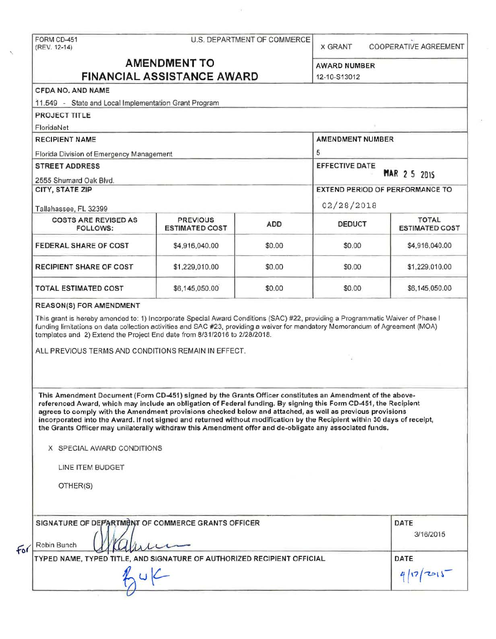FORM CD-451 U.S. DEPARTMENT OF COMMERCE . (REV. 12·14) X GRANT COOPERATIVE AGREEMENT

# **AMENDMENT TO** AWARD NUMBER **FINANCIAL ASSISTANCE AWARD** 12-10-813012

# CFDA NO. AND NAME

| 11.549 - State and Local Implementation Grant Program |                                          |            |                                 |                                       |  |
|-------------------------------------------------------|------------------------------------------|------------|---------------------------------|---------------------------------------|--|
| <b>PROJECT TITLE</b>                                  |                                          |            |                                 |                                       |  |
| FloridaNet                                            |                                          |            |                                 |                                       |  |
| <b>RECIPIENT NAME</b>                                 |                                          |            | <b>AMENDMENT NUMBER</b>         |                                       |  |
| Florida Division of Emergency Management              |                                          | 5          |                                 |                                       |  |
| <b>STREET ADDRESS</b><br>2555 Shumard Oak Blvd.       |                                          |            | <b>EFFECTIVE DATE</b>           | <b>MAR 2 5 2015</b>                   |  |
| CITY, STATE ZIP<br>Tallahassee, FL 32399              |                                          |            | EXTEND PERIOD OF PERFORMANCE TO |                                       |  |
|                                                       |                                          |            | 02/28/2018                      |                                       |  |
| <b>COSTS ARE REVISED AS</b><br>FOLLOWS:               | <b>PREVIOUS</b><br><b>ESTIMATED COST</b> | <b>ADD</b> | <b>DEDUCT</b>                   | <b>TOTAL</b><br><b>ESTIMATED COST</b> |  |
| <b>FEDERAL SHARE OF COST</b>                          | \$4,916,040.00                           | \$0.00     | \$0.00                          | \$4,916,040.00                        |  |
| <b>RECIPIENT SHARE OF COST</b>                        | \$1,229,010.00                           | \$0.00     | \$0.00                          | \$1,229,010.00                        |  |
| <b>TOTAL ESTIMATED COST</b>                           | \$6,145,050.00                           | \$0.00     | \$0.00                          | \$6,145,050.00                        |  |
|                                                       |                                          |            |                                 |                                       |  |

#### REASON(S) FOR AMENDMENT

This grant is hereby amended to: 1) Incorporate Special Award Conditions (SAC) #22, providing a Programmatic Waiver of Phase I funding limitations on data collection activities and SAC #23, providing a waiver for mandatory Memorandum of Agreement (MOA) templates and 2) Extend the Project End date from 8/31/2016 to 2/28/2018.

ALL PREVIOUS TERMS AND CONDITIONS REMAIN IN EFFECT.

- This Amendment Document (Form CD-451) signed by the Grants Officer constitutes an Amendment of the abovereferenced Award, which may include an obligation of Federal funding. By signing this Form CD-451, the Recipient agrees to comply with the Amendment provisions checked below and attached, as well as previous provisions incorporated Into the Award. If not signed and returned without modification by the Recipient within 30 days of receipt, the Grants Officer may unilaterally withdraw this Amendment offer and de-obligate any associated funds.

X SPECIAL AWARD CONDITIONS

*v* 

LINE ITEM BUDGET

OTHER(S)

| for | SIGNATURE OF DEPARTMENT OF COMMERCE GRANTS OFFICER<br>Robin Bunch<br>yumu | <b>DATE</b><br>3/16/2015 |
|-----|---------------------------------------------------------------------------|--------------------------|
|     | TYPED NAME, TYPED TITLE, AND SIGNATURE OF AUTHORIZED RECIPIENT OFFICIAL   | DATE<br>1201             |